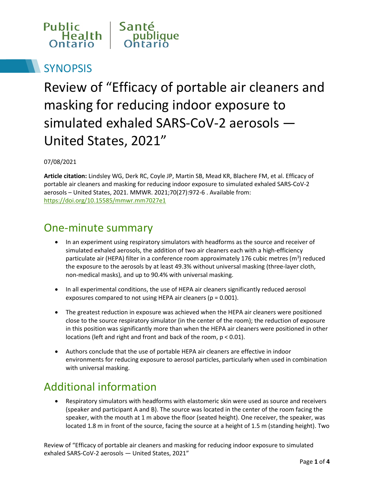

# **SYNOPSIS**

Review of "Efficacy of portable air cleaners and masking for reducing indoor exposure to simulated exhaled SARS-CoV-2 aerosols — United States, 2021"

#### 07/08/2021

**Article citation:** Lindsley WG, Derk RC, Coyle JP, Martin SB, Mead KR, Blachere FM, et al. Efficacy of portable air cleaners and masking for reducing indoor exposure to simulated exhaled SARS-CoV-2 aerosols – United States, 2021. MMWR. 2021;70(27):972-6 . Available from: <https://doi.org/10.15585/mmwr.mm7027e1>

#### One-minute summary

- In an experiment using respiratory simulators with headforms as the source and receiver of simulated exhaled aerosols, the addition of two air cleaners each with a high-efficiency particulate air (HEPA) filter in a conference room approximately 176 cubic metres (m<sup>3</sup>) reduced the exposure to the aerosols by at least 49.3% without universal masking (three-layer cloth, non-medical masks), and up to 90.4% with universal masking.
- In all experimental conditions, the use of HEPA air cleaners significantly reduced aerosol exposures compared to not using HEPA air cleaners ( $p = 0.001$ ).
- The greatest reduction in exposure was achieved when the HEPA air cleaners were positioned close to the source respiratory simulator (in the center of the room); the reduction of exposure in this position was significantly more than when the HEPA air cleaners were positioned in other locations (left and right and front and back of the room, p < 0.01).
- Authors conclude that the use of portable HEPA air cleaners are effective in indoor environments for reducing exposure to aerosol particles, particularly when used in combination with universal masking.

### Additional information

• Respiratory simulators with headforms with elastomeric skin were used as source and receivers (speaker and participant A and B). The source was located in the center of the room facing the speaker, with the mouth at 1 m above the floor (seated height). One receiver, the speaker, was located 1.8 m in front of the source, facing the source at a height of 1.5 m (standing height). Two

Review of "Efficacy of portable air cleaners and masking for reducing indoor exposure to simulated exhaled SARS-CoV-2 aerosols — United States, 2021"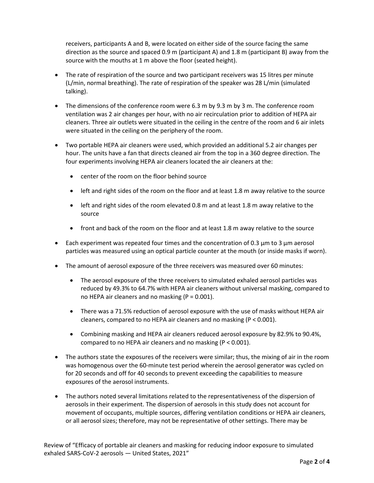receivers, participants A and B, were located on either side of the source facing the same direction as the source and spaced 0.9 m (participant A) and 1.8 m (participant B) away from the source with the mouths at 1 m above the floor (seated height).

- The rate of respiration of the source and two participant receivers was 15 litres per minute (L/min, normal breathing). The rate of respiration of the speaker was 28 L/min (simulated talking).
- The dimensions of the conference room were 6.3 m by 9.3 m by 3 m. The conference room ventilation was 2 air changes per hour, with no air recirculation prior to addition of HEPA air cleaners. Three air outlets were situated in the ceiling in the centre of the room and 6 air inlets were situated in the ceiling on the periphery of the room.
- Two portable HEPA air cleaners were used, which provided an additional 5.2 air changes per hour. The units have a fan that directs cleaned air from the top in a 360 degree direction. The four experiments involving HEPA air cleaners located the air cleaners at the:
	- center of the room on the floor behind source
	- left and right sides of the room on the floor and at least 1.8 m away relative to the source
	- left and right sides of the room elevated 0.8 m and at least 1.8 m away relative to the source
	- front and back of the room on the floor and at least 1.8 m away relative to the source
- Each experiment was repeated four times and the concentration of 0.3  $\mu$ m to 3  $\mu$ m aerosol particles was measured using an optical particle counter at the mouth (or inside masks if worn).
- The amount of aerosol exposure of the three receivers was measured over 60 minutes:
	- The aerosol exposure of the three receivers to simulated exhaled aerosol particles was reduced by 49.3% to 64.7% with HEPA air cleaners without universal masking, compared to no HEPA air cleaners and no masking (P = 0.001).
	- There was a 71.5% reduction of aerosol exposure with the use of masks without HEPA air cleaners, compared to no HEPA air cleaners and no masking (P < 0.001).
	- Combining masking and HEPA air cleaners reduced aerosol exposure by 82.9% to 90.4%, compared to no HEPA air cleaners and no masking (P < 0.001).
- The authors state the exposures of the receivers were similar; thus, the mixing of air in the room was homogenous over the 60-minute test period wherein the aerosol generator was cycled on for 20 seconds and off for 40 seconds to prevent exceeding the capabilities to measure exposures of the aerosol instruments.
- The authors noted several limitations related to the representativeness of the dispersion of aerosols in their experiment. The dispersion of aerosols in this study does not account for movement of occupants, multiple sources, differing ventilation conditions or HEPA air cleaners, or all aerosol sizes; therefore, may not be representative of other settings. There may be

Review of "Efficacy of portable air cleaners and masking for reducing indoor exposure to simulated exhaled SARS-CoV-2 aerosols — United States, 2021"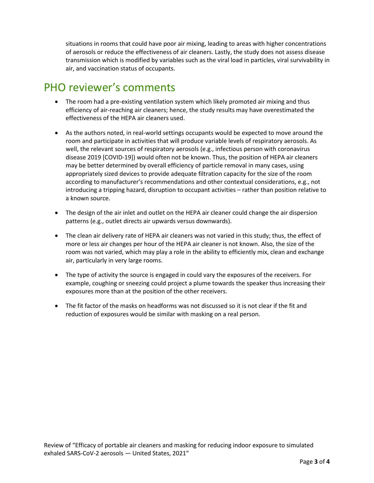situations in rooms that could have poor air mixing, leading to areas with higher concentrations of aerosols or reduce the effectiveness of air cleaners. Lastly, the study does not assess disease transmission which is modified by variables such as the viral load in particles, viral survivability in air, and vaccination status of occupants.

## PHO reviewer's comments

- The room had a pre-existing ventilation system which likely promoted air mixing and thus efficiency of air-reaching air cleaners; hence, the study results may have overestimated the effectiveness of the HEPA air cleaners used.
- As the authors noted, in real-world settings occupants would be expected to move around the room and participate in activities that will produce variable levels of respiratory aerosols. As well, the relevant sources of respiratory aerosols (e.g., infectious person with coronavirus disease 2019 [COVID-19]) would often not be known. Thus, the position of HEPA air cleaners may be better determined by overall efficiency of particle removal in many cases, using appropriately sized devices to provide adequate filtration capacity for the size of the room according to manufacturer's recommendations and other contextual considerations, e.g., not introducing a tripping hazard, disruption to occupant activities – rather than position relative to a known source.
- The design of the air inlet and outlet on the HEPA air cleaner could change the air dispersion patterns (e.g., outlet directs air upwards versus downwards).
- The clean air delivery rate of HEPA air cleaners was not varied in this study; thus, the effect of more or less air changes per hour of the HEPA air cleaner is not known. Also, the size of the room was not varied, which may play a role in the ability to efficiently mix, clean and exchange air, particularly in very large rooms.
- The type of activity the source is engaged in could vary the exposures of the receivers. For example, coughing or sneezing could project a plume towards the speaker thus increasing their exposures more than at the position of the other receivers.
- The fit factor of the masks on headforms was not discussed so it is not clear if the fit and reduction of exposures would be similar with masking on a real person.